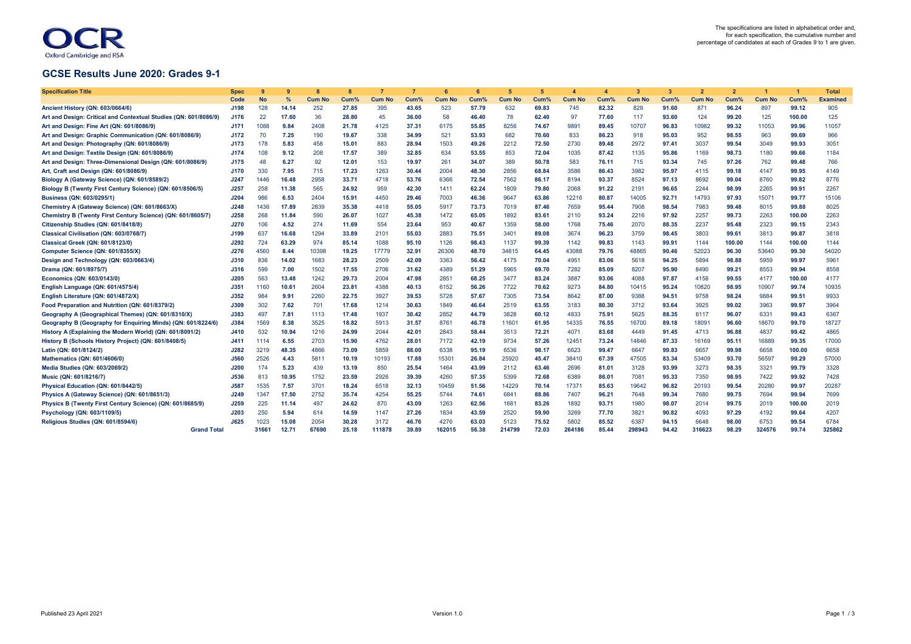## Oxford Cambridge and RSA

## **GCSE Results June 2020: Grades 9-1**

| <b>Specification Title</b>                                       | Spec        | q         |       |               |       |               |       |               |       | 5             | $\sqrt{2}$ |               | $\Delta$ | $\mathbf{3}$  | 3     |               |        |               | $\overline{\mathbf{1}}$ | <b>Total</b>    |
|------------------------------------------------------------------|-------------|-----------|-------|---------------|-------|---------------|-------|---------------|-------|---------------|------------|---------------|----------|---------------|-------|---------------|--------|---------------|-------------------------|-----------------|
|                                                                  | Code        | <b>No</b> | %     | <b>Cum No</b> | Cum%  | <b>Cum No</b> | Cum%  | <b>Cum No</b> | Cum%  | <b>Cum No</b> | Cum%       | <b>Cum No</b> | Cum%     | <b>Cum No</b> | Cum%  | <b>Cum No</b> | Cum%   | <b>Cum No</b> | Cum%                    | <b>Examined</b> |
| Ancient History (QN: 603/0664/6)                                 | J198        | 128       | 14.14 | 252           | 27.85 | 395           | 43.65 | 523           | 57.79 | 632           | 69.83      | 745           | 82.32    | 829           | 91.60 | 871           | 96.24  | 897           | 99.12                   | 905             |
| Art and Design: Critical and Contextual Studies (QN: 601/8086/9) | J176        | 22        | 17.60 | 36            | 28.80 | 45            | 36.00 | 58            | 46.40 | 78            | 62.40      | 97            | 77.60    | 117           | 93.60 | 124           | 99.20  | 125           | 100.00                  | 125             |
| Art and Design: Fine Art (QN: 601/8086/9)                        | J171        | 1088      | 9.84  | 2408          | 21.78 | 4125          | 37.31 | 6175          | 55.85 | 8256          | 74.67      | 989'          | 89.45    | 10707         | 96.83 | 10982         | 99.32  | 11053         | 99.96                   | 11057           |
| Art and Design: Graphic Communication (QN: 601/8086/9)           | J172        | 70        | 7.25  | 190           | 19.67 | 338           | 34.99 | 521           | 53.93 | 682           | 70.60      | 833           | 86.23    | 918           | 95.03 | 952           | 98.55  | 963           | 99.69                   | 966             |
| Art and Design: Photography (QN: 601/8086/9)                     | J173        | 178       | 5.83  | 458           | 15.01 | 883           | 28.94 | 1503          | 49.26 | 2212          | 72.50      | 2730          | 89.48    | 2972          | 97.41 | 3037          | 99.54  | 3049          | 99.93                   | 3051            |
| Art and Design: Textile Design (QN: 601/8086/9)                  | J174        | 108       | 9.12  | 208           | 17.57 | 389           | 32.85 | 634           | 53.55 | 853           | 72.04      | 1035          | 87.42    | 1135          | 95.86 | 1169          | 98.73  | 1180          | 99.66                   | 1184            |
| Art and Design: Three-Dimensional Design (QN: 601/8086/9)        | J175        | 48        | 6.27  | 92            | 12.01 | 153           | 19.97 | 261           | 34.07 | 389           | 50.78      | 583           | 76.11    | 715           | 93.34 | 745           | 97.26  | 762           | 99.48                   | 766             |
| Art, Craft and Design (QN: 601/8086/9)                           | J170        | 330       | 7.95  | 715           | 17.23 | 1263          | 30.44 | 2004          | 48.30 | 2856          | 68.84      | 3586          | 86.43    | 3982          | 95.97 | 4115          | 99.18  | 4147          | 99.95                   | 4149            |
| Biology A (Gateway Science) (QN: 601/8589/2)                     | J247        | 1446      | 16.48 | 2958          | 33.71 | 4718          | 53.76 | 6366          | 72.54 | 7562          | 86.17      | 8194          | 93.37    | 8524          | 97.13 | 8692          | 99.04  | 8760          | 99.82                   | 8776            |
| Biology B (Twenty First Century Science) (QN: 601/8506/5)        | J257        | 258       | 11.38 | 565           | 24.92 | 959           | 42.30 | 1411          | 62.24 | 1809          | 79.80      | 2068          | 91.22    | 2191          | 96.65 | 2244          | 98.99  | 2265          | 99.91                   | 2267            |
| Business (QN: 603/0295/1)                                        | J204        | 986       | 6.53  | 2404          | 15.91 | 4450          | 29.46 | 7003          | 46.36 | 9647          | 63.86      | 12216         | 80.87    | 14005         | 92.71 | 14793         | 97.93  | 15071         | 99.77                   | 15106           |
| Chemistry A (Gateway Science) (QN: 601/8663/X)                   | J248        | 1436      | 17.89 | 2839          | 35.38 | 4418          | 55.05 | 5917          | 73.73 | 7019          | 87.46      | 7659          | 95.44    | 7908          | 98.54 | 7983          | 99.48  | 8015          | 99.88                   | 8025            |
| Chemistry B (Twenty First Century Science) (QN: 601/8605/7)      | J258        | 268       | 11.84 | 590           | 26.07 | 1027          | 45.38 | 1472          | 65.05 | 1892          | 83.61      | 2110          | 93.24    | 2216          | 97.92 | 2257          | 99.73  | 2263          | 100.00                  | 2263            |
| Citizenship Studies (QN: 601/8418/8)                             | J270        | 106       | 4.52  | 274           | 11.69 | 554           | 23.64 | 953           | 40.67 | 1359          | 58.00      | 1768          | 75.46    | 2070          | 88.35 | 2237          | 95.48  | 2323          | 99.15                   | 2343            |
| Classical Civilisation (QN: 603/0768/7)                          | J199        | 637       | 16.68 | 1294          | 33.89 | 2101          | 55.03 | 2883          | 75.51 | 3401          | 89.08      | 3674          | 96.23    | 3759          | 98.45 | 3803          | 99.61  | 3813          | 99.87                   | 3818            |
| <b>Classical Greek (QN: 601/8123/0)</b>                          | J292        | 724       | 63.29 | 974           | 85.14 | 1088          | 95.10 | 1126          | 98.43 | 1137          | 99.39      | 1142          | 99.83    | 1143          | 99.91 | 1144          | 100.00 | 1144          | 100.00                  | 1144            |
| Computer Science (QN: 601/8355/X)                                | J276        | 4560      | 8.44  | 10398         | 19.25 | 17779         | 32.91 | 26306         | 48.70 | 34815         | 64.45      | 43088         | 79.76    | 48865         | 90.46 | 52023         | 96.30  | 53640         | 99.30                   | 54020           |
| Design and Technology (QN: 603/0663/4)                           | <b>J310</b> | 836       | 14.02 | 1683          | 28.23 | 2509          | 42.09 | 3363          | 56.42 | 4175          | 70.04      | 4951          | 83.06    | 5618          | 94.25 | 5894          | 98.88  | 5959          | 99.97                   | 5961            |
| Drama (QN: 601/8975/7)                                           | <b>J316</b> | 599       | 7.00  | 1502          | 17.55 | 2706          | 31.62 | 4389          | 51.29 | 5965          | 69.70      | 7282          | 85.09    | 8207          | 95.90 | 8490          | 99.21  | 8553          | 99.94                   | 8558            |
| Economics (QN: 603/0143/0)                                       | J205        | 563       | 13.48 | 1242          | 29.73 | 2004          | 47.98 | 285           | 68.25 | 3477          | 83.24      | 3887          | 93.06    | 4088          | 97.87 | 4158          | 99.55  | 4177          | 100.00                  | 4177            |
| English Language (QN: 601/4575/4)                                | J351        | 1160      | 10.61 | 2604          | 23.81 | 4388          | 40.13 | 6152          | 56.26 | 7722          | 70.62      | 9273          | 84.80    | 10415         | 95.24 | 10820         | 98.95  | 10907         | 99.74                   | 10935           |
| English Literature (QN: 601/4872/X)                              | J352        | 984       | 9.91  | 2260          | 22.75 | 3927          | 39.53 | 5728          | 57.67 | 7305          | 73.54      | 8642          | 87.00    | 9388          | 94.51 | 9758          | 98.24  | 9884          | 99.51                   | 9933            |
| Food Preparation and Nutrition (QN: 601/8379/2)                  | J309        | 302       | 7.62  | 701           | 17.68 | 1214          | 30.63 | 1849          | 46.64 | 2519          | 63.55      | 3183          | 80.30    | 3712          | 93.64 | 3925          | 99.02  | 3963          | 99.97                   | 3964            |
| Geography A (Geographical Themes) (QN: 601/8310/X)               | J383        | 497       | 7.81  | 1113          | 17.48 | 1937          | 30.42 | 2852          | 44.79 | 3828          | 60.12      | 4833          | 75.91    | 5625          | 88.35 | 6117          | 96.07  | 6331          | 99.43                   | 6367            |
| Geography B (Geography for Enguiring Minds) (QN: 601/8224/6)     | J384        | 1569      | 8.38  | 3525          | 18.82 | 5913          | 31.57 | 8761          | 46.78 | 11601         | 61.95      | 14335         | 76.55    | 16700         | 89.18 | 18091         | 96.60  | 18670         | 99.70                   | 18727           |
| History A (Explaining the Modern World) (QN: 601/8091/2)         | J410        | 532       | 10.94 | 1216          | 24.99 | 2044          | 42.01 | 2843          | 58.44 | 3513          | 72.21      | 4071          | 83.68    | 4449          | 91.45 | 4713          | 96.88  | 4837          | 99.42                   | 4865            |
| History B (Schools History Project) (QN: 601/8408/5)             | J411        | 1114      | 6.55  | 2703          | 15.90 | 4762          | 28.01 | 7172          | 42.19 | 9734          | 57.26      | 12451         | 73.24    | 14846         | 87.33 | 16169         | 95.11  | 16889         | 99.35                   | 17000           |
| Latin (QN: 601/8124/2)                                           | J282        | 3219      | 48.35 | 4866          | 73.09 | 5859          | 88.00 | 6338          | 95.19 | 6536          | 98.17      | 6623          | 99.47    | 6647          | 99.83 | 6657          | 99.98  | 6658          | 100.00                  | 6658            |
| Mathematics (QN: 601/4606/0)                                     | <b>J560</b> | 2526      | 4.43  | 5811          | 10.19 | 10193         | 17.88 | 15301         | 26.84 | 25920         | 45.47      | 38410         | 67.39    | 47505         | 83.34 | 53409         | 93.70  | 56597         | 99.29                   | 57000           |
| Media Studies (QN: 603/2069/2)                                   | <b>J200</b> | 174       | 5.23  | 439           | 13.19 | 850           | 25.54 | 1464          | 43.99 | 2112          | 63.46      | 2696          | 81.01    | 3128          | 93.99 | 3273          | 98.35  | 3321          | 99.79                   | 3328            |
| Music (QN: 601/8216/7)                                           | <b>J536</b> | 813       | 10.95 | 1752          | 23.59 | 2926          | 39.39 | 4260          | 57.35 | 5399          | 72.68      | 6389          | 86.01    | 7081          | 95.33 | 7350          | 98.95  | 7422          | 99.92                   | 7428            |
| Physical Education (QN: 601/8442/5)                              | J587        | 1535      | 7.57  | 3701          | 18.24 | 6518          | 32.13 | 10459         | 51.56 | 14229         | 70.14      | 17371         | 85.63    | 19642         | 96.82 | 20193         | 99.54  | 20280         | 99.97                   | 20287           |
| Physics A (Gateway Science) (QN: 601/8651/3)                     | J249        | 1347      | 17.50 | 2752          | 35.74 | 4254          | 55.25 | 5744          | 74.61 | 6841          | 88.86      | 7407          | 96.21    | 7648          | 99.34 | 7680          | 99.75  | 7694          | 99.94                   | 7699            |
| Physics B (Twenty First Century Science) (QN: 601/8685/9)        | J259        | 225       | 11.14 | 497           | 24.62 | 870           | 43.09 | 1263          | 62.56 | 168'          | 83.26      | 1892          | 93.71    | 1980          | 98.07 | 2014          | 99.75  | 2019          | 100.00                  | 2019            |
| Psychology (QN: 603/1109/5)                                      | <b>J203</b> | 250       | 5.94  | 614           | 14.59 | 1147          | 27.26 | 1834          | 43.59 | 2520          | 59.90      | 3269          | 77.70    | 3821          | 90.82 | 4093          | 97.29  | 4192          | 99.64                   | 4207            |
| Religious Studies (QN: 601/8594/6)                               | J625        | 1023      | 15.08 | 2054          | 30.28 | 3172          | 46.76 | 4276          | 63.03 | 5123          | 75.52      | 5802          | 85.52    | 6387          | 94.15 | 6648          | 98.00  | 6753          | 99.54                   | 6784            |
| <b>Grand Total</b>                                               |             | 31661     | 12.71 | 67690         | 25.18 | 111878        | 39.89 | 162015        | 56.38 | 214799        | 72.03      | 264186        | 85.44    | 298943        | 94.42 | 316623        | 98.29  | 324576        | 99.74                   | 325862          |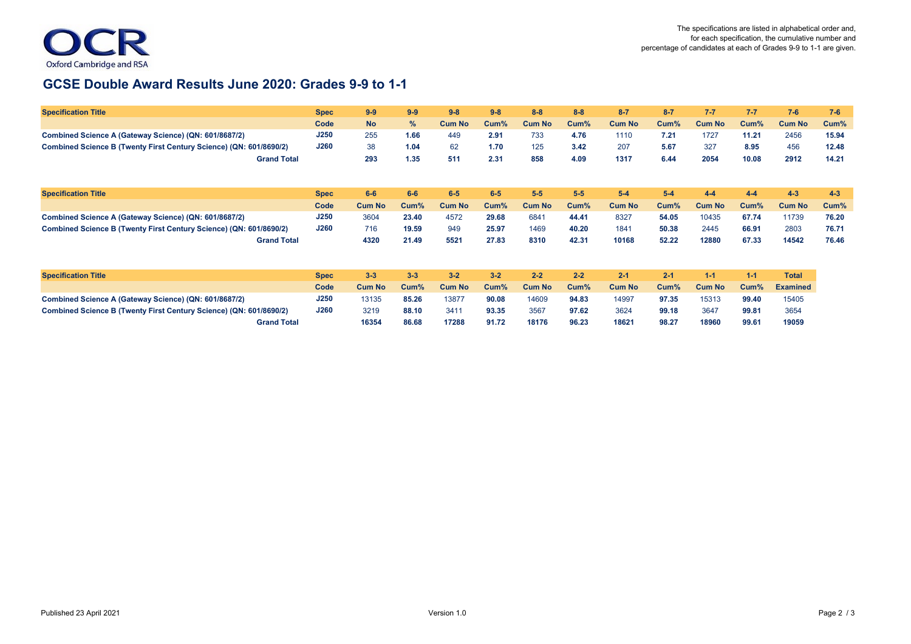

## **GCSE Double Award Results June 2020: Grades 9-9 to 1-1**

| <b>Specification Title</b>                                         | <b>Spec</b> | $9-9$         | $9-9$   | $9 - 8$       | $9-8$   | $8 - 8$       | $8 - 8$ | $8 - 7$       | $8 - 7$ | $7 - 7$       | $7 - 7$ | $7 - 6$         | $7 - 6$ |
|--------------------------------------------------------------------|-------------|---------------|---------|---------------|---------|---------------|---------|---------------|---------|---------------|---------|-----------------|---------|
|                                                                    | Code        | <b>No</b>     | %       | <b>Cum No</b> | Cum%    | <b>Cum No</b> | Cum%    | <b>Cum No</b> | Cum%    | <b>Cum No</b> | Cum%    | <b>Cum No</b>   | Cum%    |
| Combined Science A (Gateway Science) (QN: 601/8687/2)              | J250        | 255           | 1.66    | 449           | 2.91    | 733           | 4.76    | 1110          | 7.21    | 1727          | 11.21   | 2456            | 15.94   |
| Combined Science B (Twenty First Century Science) (QN: 601/8690/2) | <b>J260</b> | 38            | 1.04    | 62            | 1.70    | 125           | 3.42    | 207           | 5.67    | 327           | 8.95    | 456             | 12.48   |
| <b>Grand Total</b>                                                 |             | 293           | 1.35    | 511           | 2.31    | 858           | 4.09    | 1317          | 6.44    | 2054          | 10.08   | 2912            | 14.21   |
| <b>Specification Title</b>                                         | <b>Spec</b> | $6-6$         | $6-6$   | $6-5$         | $6-5$   | $5-5$         | $5-5$   | $5-4$         | $5-4$   | $4 - 4$       | $4 - 4$ | $4 - 3$         | $4 - 3$ |
|                                                                    | Code        | <b>Cum No</b> | $Cum\%$ | <b>Cum No</b> | $Cum\%$ | <b>Cum No</b> | Cum%    | <b>Cum No</b> | $Cum\%$ | <b>Cum No</b> | Cum%    | <b>Cum No</b>   | Cum%    |
| Combined Science A (Gateway Science) (QN: 601/8687/2)              | J250        | 3604          | 23.40   | 4572          | 29.68   | 6841          | 44.41   | 8327          | 54.05   | 10435         | 67.74   | 11739           | 76.20   |
| Combined Science B (Twenty First Century Science) (QN: 601/8690/2) | J260        | 716           | 19.59   | 949           | 25.97   | 1469          | 40.20   | 1841          | 50.38   | 2445          | 66.91   | 2803            | 76.71   |
| <b>Grand Total</b>                                                 |             | 4320          | 21.49   | 5521          | 27.83   | 8310          | 42.31   | 10168         | 52.22   | 12880         | 67.33   | 14542           | 76.46   |
| <b>Specification Title</b>                                         | <b>Spec</b> | $3 - 3$       | $3 - 3$ | $3 - 2$       | $3 - 2$ | $2 - 2$       | $2 - 2$ | $2 - 1$       | $2 - 1$ | $1 - 1$       | $1 - 1$ | <b>Total</b>    |         |
|                                                                    | Code        | <b>Cum No</b> | $Cum\%$ | <b>Cum No</b> | $Cum\%$ | <b>Cum No</b> | Cum%    | <b>Cum No</b> | Cum%    | <b>Cum No</b> | Cum%    | <b>Examined</b> |         |
| Combined Science A (Gateway Science) (QN: 601/8687/2)              | J250        | 13135         | 85.26   | 13877         | 90.08   | 14609         | 94.83   | 14997         | 97.35   | 15313         | 99.40   | 15405           |         |
| Combined Science B (Twenty First Century Science) (QN: 601/8690/2) | J260        | 3219          | 88.10   | 3411          | 93.35   | 3567          | 97.62   | 3624          | 99.18   | 3647          | 99.81   | 3654            |         |
| <b>Grand Total</b>                                                 |             | 16354         | 86.68   | 17288         | 91.72   | 18176         | 96.23   | 18621         | 98.27   | 18960         | 99.61   | 19059           |         |